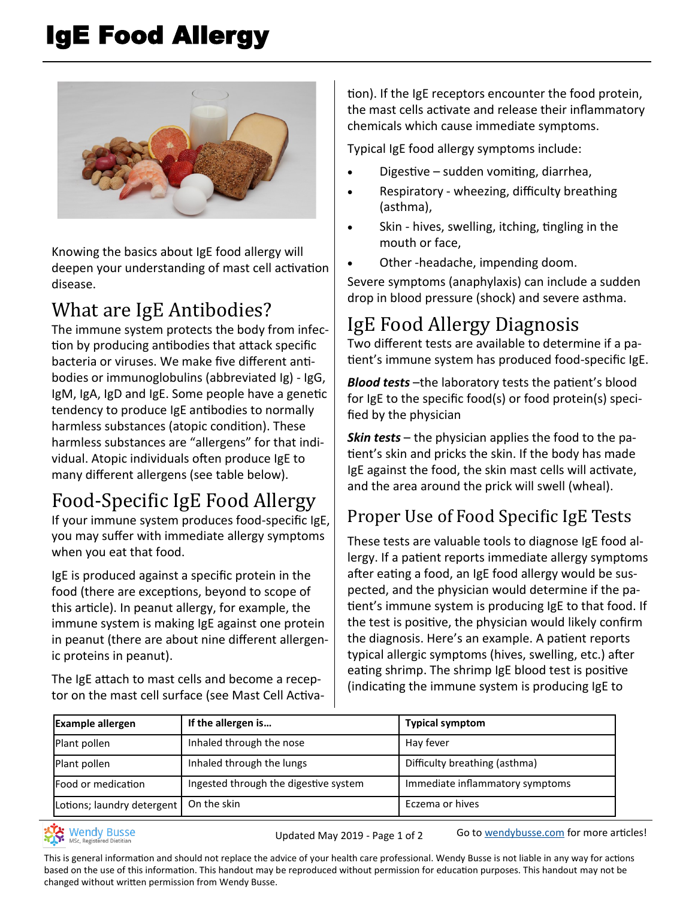# IgE Food Allergy



Knowing the basics about IgE food allergy will deepen your understanding of mast cell activation disease.

#### What are IgE Antibodies?

The immune system protects the body from infection by producing antibodies that attack specific bacteria or viruses. We make five different antibodies or immunoglobulins (abbreviated Ig) - IgG, IgM, IgA, IgD and IgE. Some people have a genetic tendency to produce IgE antibodies to normally harmless substances (atopic condition). These harmless substances are "allergens" for that individual. Atopic individuals often produce IgE to many different allergens (see table below).

## Food-Specific IgE Food Allergy

If your immune system produces food-specific IgE, you may suffer with immediate allergy symptoms when you eat that food.

IgE is produced against a specific protein in the food (there are exceptions, beyond to scope of this article). In peanut allergy, for example, the immune system is making IgE against one protein in peanut (there are about nine different allergenic proteins in peanut).

The IgE attach to mast cells and become a receptor on the mast cell surface (see Mast Cell Activation). If the IgE receptors encounter the food protein, the mast cells activate and release their inflammatory chemicals which cause immediate symptoms.

Typical IgE food allergy symptoms include:

- Digestive sudden vomiting, diarrhea,
- Respiratory wheezing, difficulty breathing (asthma),
- Skin hives, swelling, itching, tingling in the mouth or face,
- Other -headache, impending doom.

Severe symptoms (anaphylaxis) can include a sudden drop in blood pressure (shock) and severe asthma.

## IgE Food Allergy Diagnosis

Two different tests are available to determine if a patient's immune system has produced food-specific IgE.

*Blood tests* –the laboratory tests the patient's blood for IgE to the specific food(s) or food protein(s) specified by the physician

*Skin tests* – the physician applies the food to the patient's skin and pricks the skin. If the body has made IgE against the food, the skin mast cells will activate, and the area around the prick will swell (wheal).

#### Proper Use of Food Specific IgE Tests

These tests are valuable tools to diagnose IgE food allergy. If a patient reports immediate allergy symptoms after eating a food, an IgE food allergy would be suspected, and the physician would determine if the patient's immune system is producing IgE to that food. If the test is positive, the physician would likely confirm the diagnosis. Here's an example. A patient reports typical allergic symptoms (hives, swelling, etc.) after eating shrimp. The shrimp IgE blood test is positive (indicating the immune system is producing IgE to

| <b>Example allergen</b>    | If the allergen is                    | <b>Typical symptom</b>          |
|----------------------------|---------------------------------------|---------------------------------|
| Plant pollen               | Inhaled through the nose              | Hay fever                       |
| Plant pollen               | Inhaled through the lungs             | Difficulty breathing (asthma)   |
| Food or medication         | Ingested through the digestive system | Immediate inflammatory symptoms |
| Lotions; laundry detergent | On the skin                           | Eczema or hives                 |

Wendy Busse<br>MSc, Registered Dietitian

Updated May 2019 - Page 1 of 2 Go to [wendybusse.com](http://www.wendybusse.com/) for more articles!

This is general information and should not replace the advice of your health care professional. Wendy Busse is not liable in any way for actions based on the use of this information. This handout may be reproduced without permission for education purposes. This handout may not be changed without written permission from Wendy Busse.